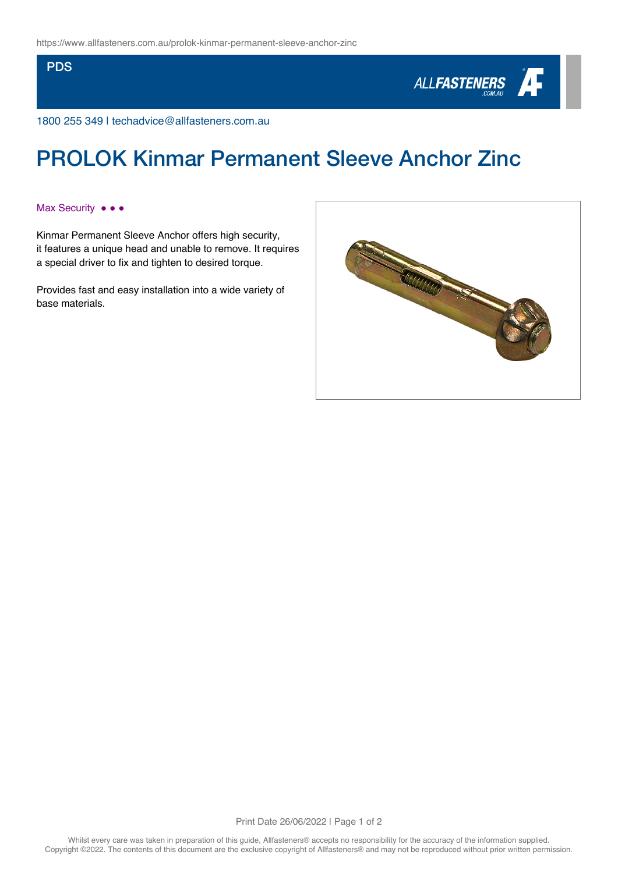### **PDS**



1800 255 349 | techadvice@allfasteners.com.au

# PROLOK Kinmar Permanent Sleeve Anchor Zinc

## Max Security •••

Kinmar Permanent Sleeve Anchor offers high security, it features a unique head and unable to remove. It requires a special driver to fix and tighten to desired torque.

Provides fast and easy installation into a wide variety of base materials.